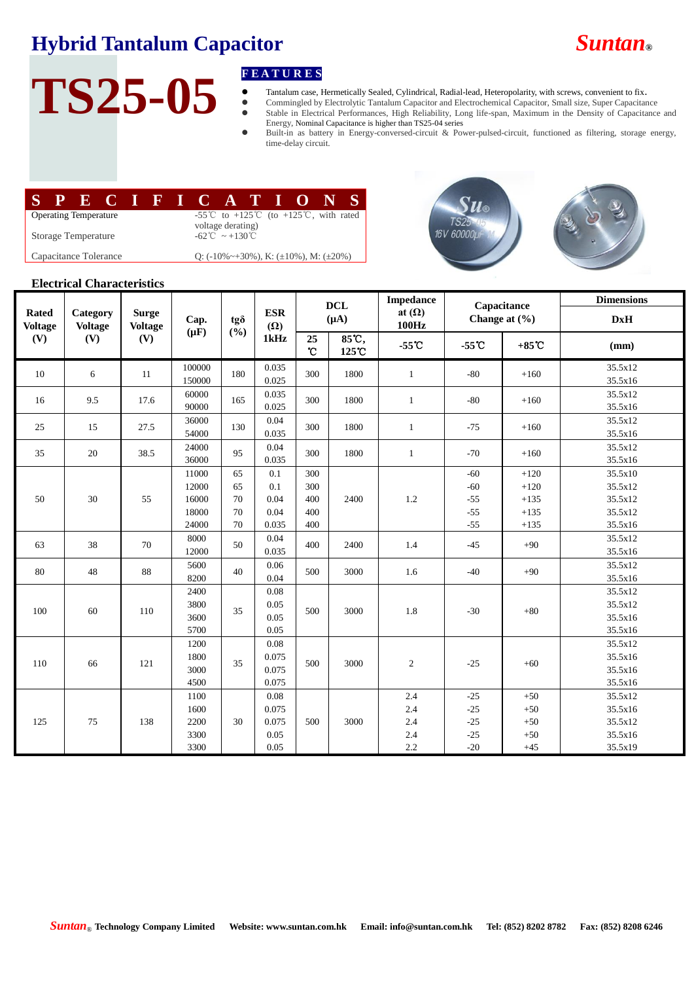## **Hybrid Tantalum Capacitor** *Suntan***®**

# TS25-05 **FEATURES**<br> **FEATURES**<br> **FEATURES**<br> **FEATURES**<br> **FEATURES**<br> **FEATURES**<br> **FEATURES**<br> **FEATURES**<br> **FEATURES**

- Tantalum case, Hermetically Sealed, Cylindrical, Radial-lead, Heteropolarity, with screws, convenient to fix.
- Commingled by Electrolytic Tantalum Capacitor and Electrochemical Capacitor, Small size, Super Capacitance Stable in Electrical Performances, High Reliability, Long life-span, Maximum in the Density of Capacitance and
- Energy, Nominal Capacitance is higher than TS25-04 series Built-in as battery in Energy-conversed-circuit & Power-pulsed-circuit, functioned as filtering, storage energy, time-delay circuit.

|                              |  |  |  |  |  |  | PECIFICATIONS                                                                                        |  |  |  |  |  |  |
|------------------------------|--|--|--|--|--|--|------------------------------------------------------------------------------------------------------|--|--|--|--|--|--|
| <b>Operating Temperature</b> |  |  |  |  |  |  | -55 <sup>°</sup> C to +125 <sup>°</sup> C (to +125 <sup>°C</sup> , with rated  <br>voltage derating) |  |  |  |  |  |  |
| <b>Storage Temperature</b>   |  |  |  |  |  |  | $-62^{\circ}\text{C} \sim +130^{\circ}\text{C}$                                                      |  |  |  |  |  |  |
| Capacitance Tolerance        |  |  |  |  |  |  | Q: $(-10\% \sim +30\%)$ , K: $(\pm 10\%)$ , M: $(\pm 20\%)$                                          |  |  |  |  |  |  |





#### **Electrical Characteristics**

|                                       | Category<br><b>Voltage</b><br>(V) | <b>Surge</b><br><b>Voltage</b><br>(V) | Cap.<br>$(\mu F)$ | tgo<br>(%) |                                  | <b>DCL</b><br>$(\mu A)$      |                | <b>Impedance</b>       | Capacitance     |                   | <b>Dimensions</b>  |
|---------------------------------------|-----------------------------------|---------------------------------------|-------------------|------------|----------------------------------|------------------------------|----------------|------------------------|-----------------|-------------------|--------------------|
| <b>Rated</b><br><b>Voltage</b><br>(V) |                                   |                                       |                   |            | <b>ESR</b><br>$(\Omega)$<br>1kHz |                              |                | at $(\Omega)$<br>100Hz |                 | Change at $(\% )$ | DxH                |
|                                       |                                   |                                       |                   |            |                                  | 25<br>$\mathcal{C}$          | 85°C,<br>125 C | $-55^\circ$ C          | $-55^{\circ}$ C | $+85^{\circ}$ C   | (mm)               |
| 10                                    | 6                                 | 11                                    | 100000            | 180        | 0.035                            | 300                          | 1800           | 1                      | $-80$           | $+160$            | 35.5x12            |
|                                       |                                   |                                       | 150000            |            | 0.025                            |                              |                |                        |                 |                   | 35.5x16            |
| 16                                    | 9.5                               | 17.6                                  | 60000             | 165        | 0.035                            | 300                          | 1800           | $\mathbf{1}$           | $-80$           | $+160$            | 35.5x12            |
|                                       |                                   |                                       | 90000             |            | 0.025                            |                              |                |                        |                 |                   | 35.5x16            |
| 25                                    | 15                                | 27.5                                  | 36000             | 130        |                                  | 0.04<br>300<br>0.035<br>0.04 | 1800           | $\mathbf{1}$           | $-75$           | $+160$            | 35.5x12            |
|                                       |                                   |                                       | 54000             |            |                                  |                              |                |                        |                 |                   | 35.5x16            |
| 35                                    | 20                                | 38.5                                  | 24000<br>36000    | 95         | 0.035                            | 300                          | 1800           | $\mathbf{1}$           | $-70$           | $+160$            | 35.5x12<br>35.5x16 |
|                                       |                                   |                                       | 11000             | 65         | 0.1                              | 300                          |                |                        | $-60$           | $+120$            | 35.5x10            |
|                                       | 30                                | 55                                    | 12000             | 65         | 0.1                              | 300                          |                | 1.2                    | $-60$           | $+120$            | 35.5x12            |
| 50                                    |                                   |                                       | 16000             | 70         | 0.04                             | 400<br>400<br>400            | 2400           |                        | $-55$           | $+135$            | 35.5x12            |
|                                       |                                   |                                       | 18000             | 70         | 0.04                             |                              |                |                        | $-55$           | $+135$            | 35.5x12            |
|                                       |                                   |                                       | 24000             | 70         | 0.035                            |                              |                |                        | $-55$           | $+135$            | 35.5x16            |
| 63                                    | 38                                | 70                                    | 8000              |            | 0.04                             | 400                          | 2400           | 1.4                    | $-45$           | $+90$             | 35.5x12            |
|                                       |                                   |                                       | 12000             | 50         | 0.035                            |                              |                |                        |                 |                   | 35.5x16            |
| 80                                    | 48                                | 88                                    | 5600              |            | 0.06                             | 500                          | 3000           | 1.6                    |                 | $+90$             | 35.5x12            |
|                                       |                                   |                                       | 8200              | 40         | 0.04                             |                              |                |                        | $-40$           |                   | 35.5x16            |
| 100                                   | 60                                | 110                                   | 2400              |            | 0.08<br>0.05<br>500              | 3000                         | 1.8            | $-30$                  | $+80$           | 35.5x12           |                    |
|                                       |                                   |                                       | 3800              | 35         |                                  |                              |                |                        |                 | 35.5x12           |                    |
|                                       |                                   |                                       | 3600              |            | 0.05                             |                              |                |                        |                 |                   | 35.5x16            |
|                                       |                                   |                                       | 5700              |            | 0.05                             |                              |                |                        |                 |                   | 35.5x16            |
| 110                                   | 66                                | 121                                   | 1200              |            | 0.08                             | 500                          | 3000           | $\sqrt{2}$             | $-25$           | $+60$             | 35.5x12            |
|                                       |                                   |                                       | 1800              | 35         | 0.075                            |                              |                |                        |                 |                   | 35.5x16            |
|                                       |                                   |                                       | 3000              |            | 0.075                            |                              |                |                        |                 |                   | 35.5x16            |
|                                       |                                   |                                       | 4500              |            | 0.075                            |                              |                |                        |                 |                   | 35.5x16            |
| 125                                   | 75                                | 138                                   | 1100              |            | 0.08                             | 500                          | 3000           | 2.4                    | $-25$           | $+50$             | 35.5x12            |
|                                       |                                   |                                       | 1600              |            | 0.075                            |                              |                | 2.4                    | $-25$           | $+50$             | 35.5x16            |
|                                       |                                   |                                       | 2200              | 30         | 0.075                            |                              |                | 2.4                    | $-25$           | $+50$             | 35.5x12            |
|                                       |                                   |                                       | 3300              |            | 0.05                             |                              |                | 2.4                    | $-25$           | $+50$             | 35.5x16            |
|                                       |                                   |                                       | 3300              |            | 0.05                             |                              |                | 2.2                    | $-20$           | $+45$             | 35.5x19            |